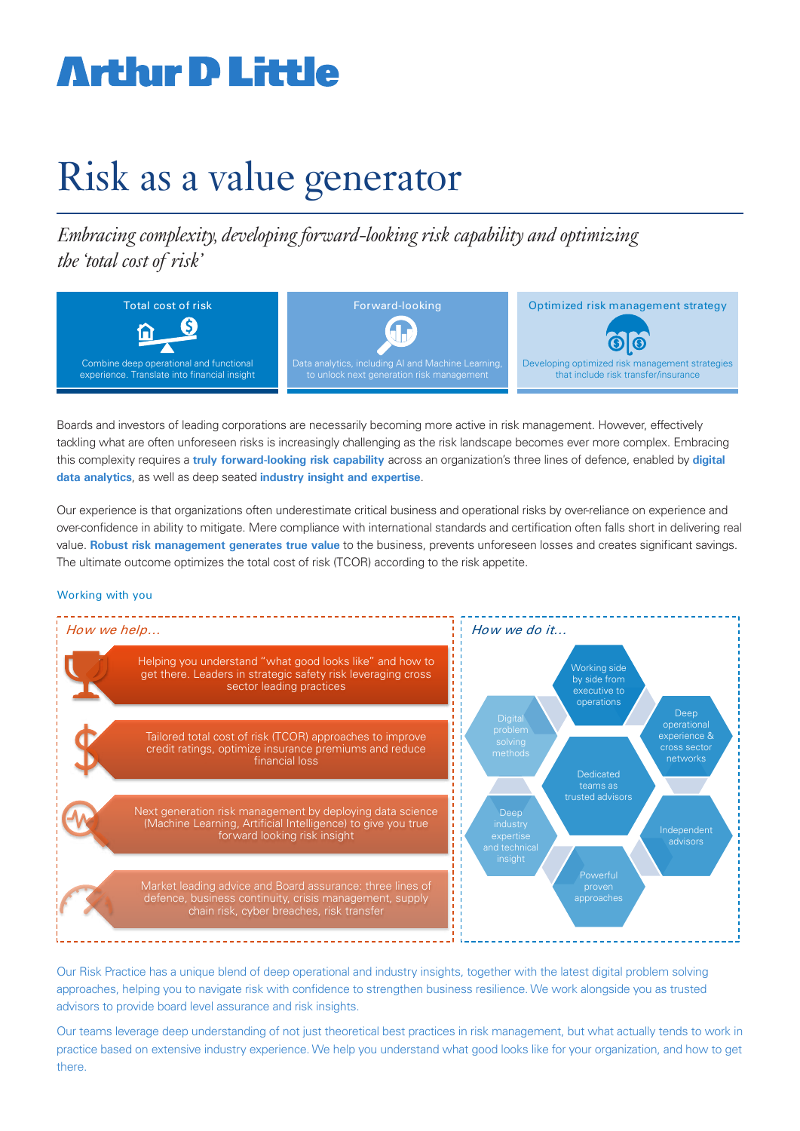# **Arthır D Little**

## Risk as a value generator

*Embracing complexity, developing forward-looking risk capability and optimizing the 'total cost of risk'*



Boards and investors of leading corporations are necessarily becoming more active in risk management. However, effectively tackling what are often unforeseen risks is increasingly challenging as the risk landscape becomes ever more complex. Embracing this complexity requires a **truly forward-looking risk capability** across an organization's three lines of defence, enabled by **digital data analytics**, as well as deep seated **industry insight and expertise**.

Our experience is that organizations often underestimate critical business and operational risks by over-reliance on experience and over-confidence in ability to mitigate. Mere compliance with international standards and certification often falls short in delivering real value. **Robust risk management generates true value** to the business, prevents unforeseen losses and creates significant savings. The ultimate outcome optimizes the total cost of risk (TCOR) according to the risk appetite.

#### Working with you



Our Risk Practice has a unique blend of deep operational and industry insights, together with the latest digital problem solving approaches, helping you to navigate risk with confidence to strengthen business resilience. We work alongside you as trusted advisors to provide board level assurance and risk insights.

Our teams leverage deep understanding of not just theoretical best practices in risk management, but what actually tends to work in practice based on extensive industry experience. We help you understand what good looks like for your organization, and how to get there.